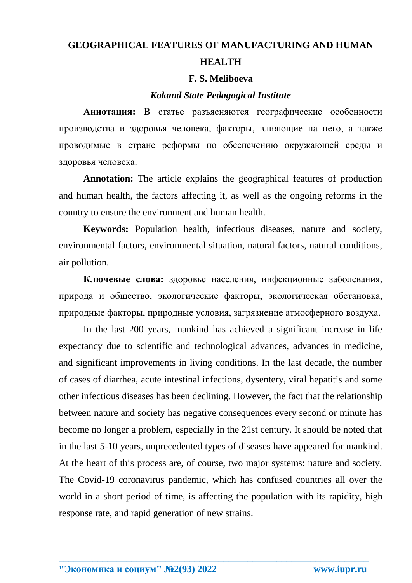## **GEOGRAPHICAL FEATURES OF MANUFACTURING AND HUMAN HEALTH**

## **F. S. Meliboeva**

## *Kokand State Pedagogical Institute*

**Аннотация:** В статье разъясняются географические особенности производства и здоровья человека, факторы, влияющие на него, а также проводимые в стране реформы по обеспечению окружающей среды и здоровья человека.

**Annotation:** The article explains the geographical features of production and human health, the factors affecting it, as well as the ongoing reforms in the country to ensure the environment and human health.

**Keywords:** Population health, infectious diseases, nature and society, environmental factors, environmental situation, natural factors, natural conditions, air pollution.

**Ключевые слова:** здоровье населения, инфекционные заболевания, природа и общество, экологические факторы, экологическая обстановка, природные факторы, природные условия, загрязнение атмосферного воздуха.

In the last 200 years, mankind has achieved a significant increase in life expectancy due to scientific and technological advances, advances in medicine, and significant improvements in living conditions. In the last decade, the number of cases of diarrhea, acute intestinal infections, dysentery, viral hepatitis and some other infectious diseases has been declining. However, the fact that the relationship between nature and society has negative consequences every second or minute has become no longer a problem, especially in the 21st century. It should be noted that in the last 5-10 years, unprecedented types of diseases have appeared for mankind. At the heart of this process are, of course, two major systems: nature and society. The Covid-19 coronavirus pandemic, which has confused countries all over the world in a short period of time, is affecting the population with its rapidity, high response rate, and rapid generation of new strains.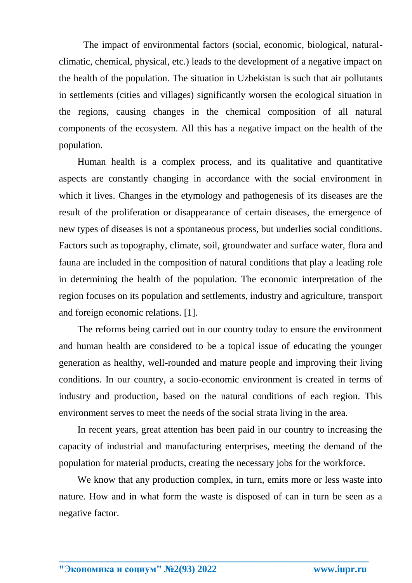The impact of environmental factors (social, economic, biological, naturalclimatic, chemical, physical, etc.) leads to the development of a negative impact on the health of the population. The situation in Uzbekistan is such that air pollutants in settlements (cities and villages) significantly worsen the ecological situation in the regions, causing changes in the chemical composition of all natural components of the ecosystem. All this has a negative impact on the health of the population.

Human health is a complex process, and its qualitative and quantitative aspects are constantly changing in accordance with the social environment in which it lives. Changes in the etymology and pathogenesis of its diseases are the result of the proliferation or disappearance of certain diseases, the emergence of new types of diseases is not a spontaneous process, but underlies social conditions. Factors such as topography, climate, soil, groundwater and surface water, flora and fauna are included in the composition of natural conditions that play a leading role in determining the health of the population. The economic interpretation of the region focuses on its population and settlements, industry and agriculture, transport and foreign economic relations. [1].

The reforms being carried out in our country today to ensure the environment and human health are considered to be a topical issue of educating the younger generation as healthy, well-rounded and mature people and improving their living conditions. In our country, a socio-economic environment is created in terms of industry and production, based on the natural conditions of each region. This environment serves to meet the needs of the social strata living in the area.

In recent years, great attention has been paid in our country to increasing the capacity of industrial and manufacturing enterprises, meeting the demand of the population for material products, creating the necessary jobs for the workforce.

We know that any production complex, in turn, emits more or less waste into nature. How and in what form the waste is disposed of can in turn be seen as a negative factor.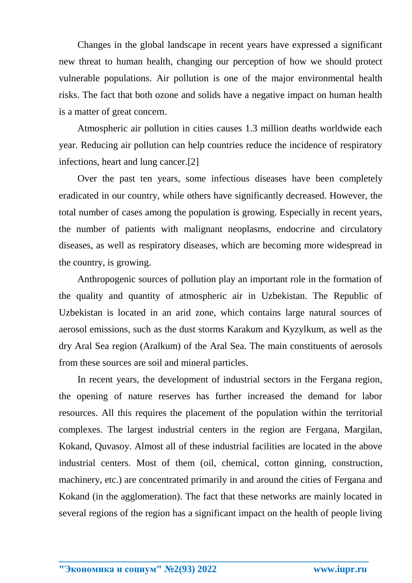Changes in the global landscape in recent years have expressed a significant new threat to human health, changing our perception of how we should protect vulnerable populations. Air pollution is one of the major environmental health risks. The fact that both ozone and solids have a negative impact on human health is a matter of great concern.

Atmospheric air pollution in cities causes 1.3 million deaths worldwide each year. Reducing air pollution can help countries reduce the incidence of respiratory infections, heart and lung cancer.[2]

Over the past ten years, some infectious diseases have been completely eradicated in our country, while others have significantly decreased. However, the total number of cases among the population is growing. Especially in recent years, the number of patients with malignant neoplasms, endocrine and circulatory diseases, as well as respiratory diseases, which are becoming more widespread in the country, is growing.

Anthropogenic sources of pollution play an important role in the formation of the quality and quantity of atmospheric air in Uzbekistan. The Republic of Uzbekistan is located in an arid zone, which contains large natural sources of aerosol emissions, such as the dust storms Karakum and Kyzylkum, as well as the dry Aral Sea region (Aralkum) of the Aral Sea. The main constituents of aerosols from these sources are soil and mineral particles.

In recent years, the development of industrial sectors in the Fergana region, the opening of nature reserves has further increased the demand for labor resources. All this requires the placement of the population within the territorial complexes. The largest industrial centers in the region are Fergana, Margilan, Kokand, Quvasoy. Almost all of these industrial facilities are located in the above industrial centers. Most of them (oil, chemical, cotton ginning, construction, machinery, etc.) are concentrated primarily in and around the cities of Fergana and Kokand (in the agglomeration). The fact that these networks are mainly located in several regions of the region has a significant impact on the health of people living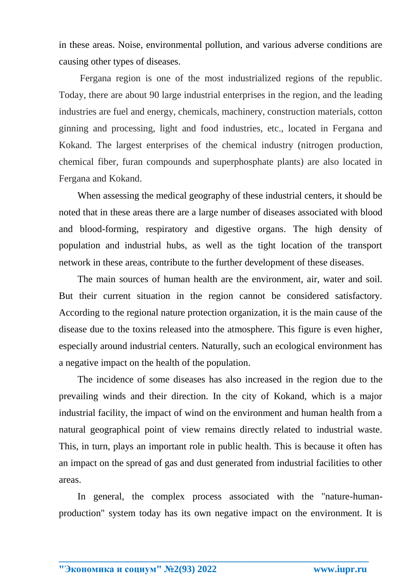in these areas. Noise, environmental pollution, and various adverse conditions are causing other types of diseases.

Fergana region is one of the most industrialized regions of the republic. Today, there are about 90 large industrial enterprises in the region, and the leading industries are fuel and energy, chemicals, machinery, construction materials, cotton ginning and processing, light and food industries, etc., located in Fergana and Kokand. The largest enterprises of the chemical industry (nitrogen production, chemical fiber, furan compounds and superphosphate plants) are also located in Fergana and Kokand.

When assessing the medical geography of these industrial centers, it should be noted that in these areas there are a large number of diseases associated with blood and blood-forming, respiratory and digestive organs. The high density of population and industrial hubs, as well as the tight location of the transport network in these areas, contribute to the further development of these diseases.

The main sources of human health are the environment, air, water and soil. But their current situation in the region cannot be considered satisfactory. According to the regional nature protection organization, it is the main cause of the disease due to the toxins released into the atmosphere. This figure is even higher, especially around industrial centers. Naturally, such an ecological environment has a negative impact on the health of the population.

The incidence of some diseases has also increased in the region due to the prevailing winds and their direction. In the city of Kokand, which is a major industrial facility, the impact of wind on the environment and human health from a natural geographical point of view remains directly related to industrial waste. This, in turn, plays an important role in public health. This is because it often has an impact on the spread of gas and dust generated from industrial facilities to other areas.

In general, the complex process associated with the "nature-humanproduction" system today has its own negative impact on the environment. It is